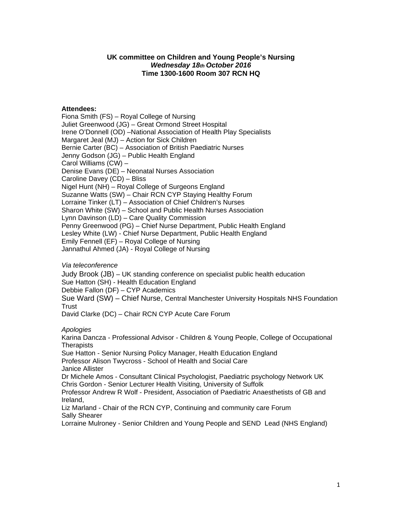## **UK committee on Children and Young People's Nursing** *Wednesday 18th October 2016* **Time 1300-1600 Room 307 RCN HQ**

## **Attendees:**

Fiona Smith (FS) – Royal College of Nursing Juliet Greenwood (JG) – Great Ormond Street Hospital Irene O'Donnell (OD) –National Association of Health Play Specialists Margaret Jeal (MJ) – Action for Sick Children Bernie Carter (BC) – Association of British Paediatric Nurses Jenny Godson (JG) – Public Health England Carol Williams (CW) – Denise Evans (DE) – Neonatal Nurses Association Caroline Davey (CD) – Bliss Nigel Hunt (NH) – Royal College of Surgeons England Suzanne Watts (SW) – Chair RCN CYP Staying Healthy Forum Lorraine Tinker (LT) – Association of Chief Children's Nurses Sharon White (SW) – School and Public Health Nurses Association Lynn Davinson (LD) – Care Quality Commission Penny Greenwood (PG) – Chief Nurse Department, Public Health England Lesley White (LW) - Chief Nurse Department, Public Health England Emily Fennell (EF) – Royal College of Nursing Jannathul Ahmed (JA) - Royal College of Nursing

## *Via teleconference*

Judy Brook (JB) – UK standing conference on specialist public health education Sue Hatton (SH) - Health Education England Debbie Fallon (DF) – CYP Academics Sue Ward (SW) – Chief Nurse, Central Manchester University Hospitals NHS Foundation Trust

David Clarke (DC) – Chair RCN CYP Acute Care Forum

## *Apologies*

Karina Dancza - Professional Advisor - Children & Young People, College of Occupational **Therapists** 

Sue Hatton - Senior Nursing Policy Manager, Health Education England Professor Alison Twycross - School of Health and Social Care

Janice Allister

Dr Michele Amos - Consultant Clinical Psychologist, Paediatric psychology Network UK Chris Gordon - Senior Lecturer Health Visiting, University of Suffolk

Professor Andrew R Wolf - President, Association of Paediatric Anaesthetists of GB and Ireland,

Liz Marland - Chair of the RCN CYP, Continuing and community care Forum Sally Shearer

Lorraine Mulroney - Senior Children and Young People and SEND Lead (NHS England)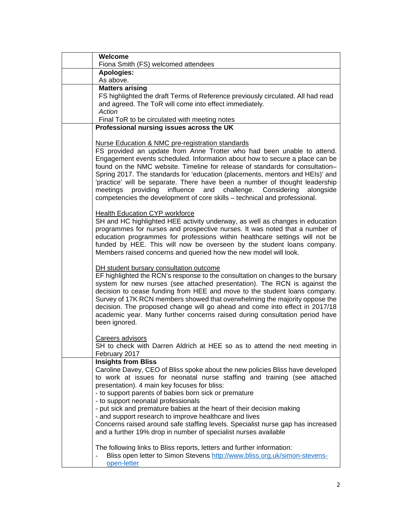| Welcome                                                                                                                                                                                                                                                                                                                                                                                                                                                                                                                                                                                                                           |
|-----------------------------------------------------------------------------------------------------------------------------------------------------------------------------------------------------------------------------------------------------------------------------------------------------------------------------------------------------------------------------------------------------------------------------------------------------------------------------------------------------------------------------------------------------------------------------------------------------------------------------------|
| Fiona Smith (FS) welcomed attendees                                                                                                                                                                                                                                                                                                                                                                                                                                                                                                                                                                                               |
| <b>Apologies:</b>                                                                                                                                                                                                                                                                                                                                                                                                                                                                                                                                                                                                                 |
| As above.                                                                                                                                                                                                                                                                                                                                                                                                                                                                                                                                                                                                                         |
| <b>Matters arising</b><br>FS highlighted the draft Terms of Reference previously circulated. All had read<br>and agreed. The ToR will come into effect immediately.<br>Action                                                                                                                                                                                                                                                                                                                                                                                                                                                     |
| Final ToR to be circulated with meeting notes                                                                                                                                                                                                                                                                                                                                                                                                                                                                                                                                                                                     |
| Professional nursing issues across the UK                                                                                                                                                                                                                                                                                                                                                                                                                                                                                                                                                                                         |
| Nurse Education & NMC pre-registration standards<br>FS provided an update from Anne Trotter who had been unable to attend.<br>Engagement events scheduled. Information about how to secure a place can be<br>found on the NMC website. Timeline for release of standards for consultation-<br>Spring 2017. The standards for 'education (placements, mentors and HEIs)' and<br>'practice' will be separate. There have been a number of thought leadership<br>meetings<br>providing influence and challenge. Considering<br>alongside<br>competencies the development of core skills - technical and professional.                |
| <b>Health Education CYP workforce</b><br>SH and HC highlighted HEE activity underway, as well as changes in education<br>programmes for nurses and prospective nurses. It was noted that a number of<br>education programmes for professions within healthcare settings will not be<br>funded by HEE. This will now be overseen by the student loans company.<br>Members raised concerns and queried how the new model will look.                                                                                                                                                                                                 |
| DH student bursary consultation outcome<br>EF highlighted the RCN's response to the consultation on changes to the bursary<br>system for new nurses (see attached presentation). The RCN is against the<br>decision to cease funding from HEE and move to the student loans company.<br>Survey of 17K RCN members showed that overwhelming the majority oppose the<br>decision. The proposed change will go ahead and come into effect in 2017/18<br>academic year. Many further concerns raised during consultation period have<br>been ignored.                                                                                 |
| <b>Careers advisors</b><br>SH to check with Darren Aldrich at HEE so as to attend the next meeting in<br>February 2017                                                                                                                                                                                                                                                                                                                                                                                                                                                                                                            |
| <b>Insights from Bliss</b><br>Caroline Davey, CEO of Bliss spoke about the new policies Bliss have developed<br>to work at issues for neonatal nurse staffing and training (see attached<br>presentation). 4 main key focuses for bliss:<br>- to support parents of babies born sick or premature<br>- to support neonatal professionals<br>- put sick and premature babies at the heart of their decision making<br>- and support research to improve healthcare and lives<br>Concerns raised around safe staffing levels. Specialist nurse gap has increased<br>and a further 19% drop in number of specialist nurses available |
| The following links to Bliss reports, letters and further information:<br>Bliss open letter to Simon Stevens http://www.bliss.org.uk/simon-stevens-<br>$\frac{1}{2}$<br>open-letter                                                                                                                                                                                                                                                                                                                                                                                                                                               |